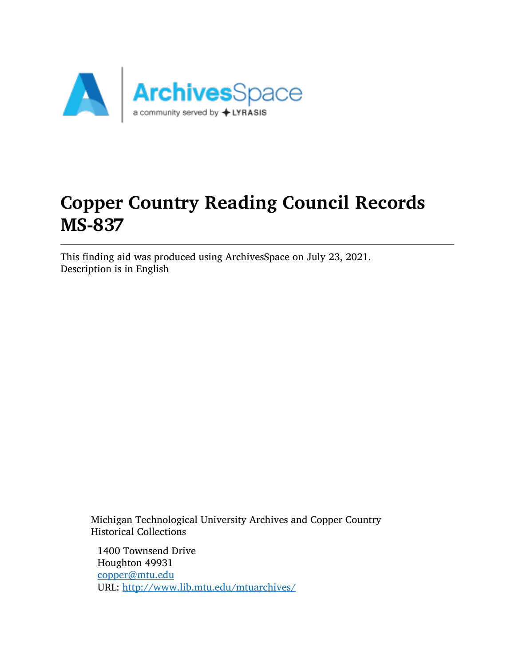

# Copper Country Reading Council Records MS-837

This finding aid was produced using ArchivesSpace on July 23, 2021. Description is in English

Michigan Technological University Archives and Copper Country Historical Collections

1400 Townsend Drive Houghton 49931 [copper@mtu.edu](mailto:copper@mtu.edu) URL: <http://www.lib.mtu.edu/mtuarchives/>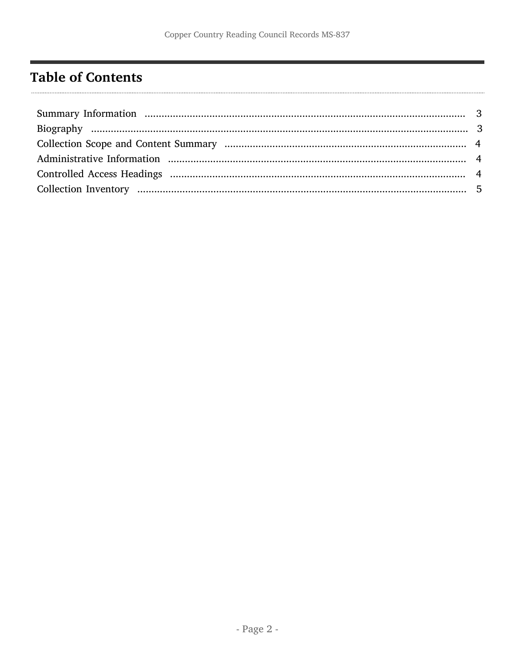## <span id="page-1-0"></span>**Table of Contents**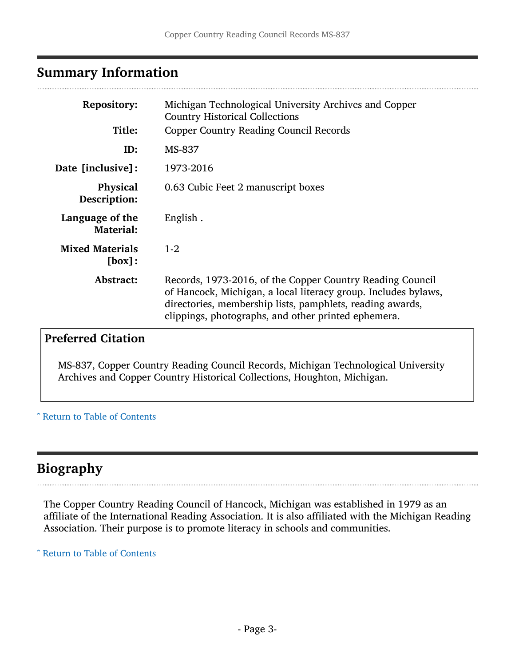## <span id="page-2-0"></span>Summary Information

| <b>Repository:</b>                  | Michigan Technological University Archives and Copper<br><b>Country Historical Collections</b>                                                                                                                                                  |  |
|-------------------------------------|-------------------------------------------------------------------------------------------------------------------------------------------------------------------------------------------------------------------------------------------------|--|
| Title:                              | <b>Copper Country Reading Council Records</b>                                                                                                                                                                                                   |  |
| ID:                                 | MS-837                                                                                                                                                                                                                                          |  |
| <b>Date [inclusive]:</b>            | 1973-2016                                                                                                                                                                                                                                       |  |
| <b>Physical</b><br>Description:     | 0.63 Cubic Feet 2 manuscript boxes                                                                                                                                                                                                              |  |
| Language of the<br><b>Material:</b> | English.                                                                                                                                                                                                                                        |  |
| <b>Mixed Materials</b><br>[box]:    | $1-2$                                                                                                                                                                                                                                           |  |
| Abstract:                           | Records, 1973-2016, of the Copper Country Reading Council<br>of Hancock, Michigan, a local literacy group. Includes bylaws,<br>directories, membership lists, pamphlets, reading awards,<br>clippings, photographs, and other printed ephemera. |  |

## Preferred Citation

MS-837, Copper Country Reading Council Records, Michigan Technological University Archives and Copper Country Historical Collections, Houghton, Michigan.

^ [Return to Table of Contents](#page-1-0)

## <span id="page-2-1"></span>Biography

The Copper Country Reading Council of Hancock, Michigan was established in 1979 as an affiliate of the International Reading Association. It is also affiliated with the Michigan Reading Association. Their purpose is to promote literacy in schools and communities.

^ [Return to Table of Contents](#page-1-0)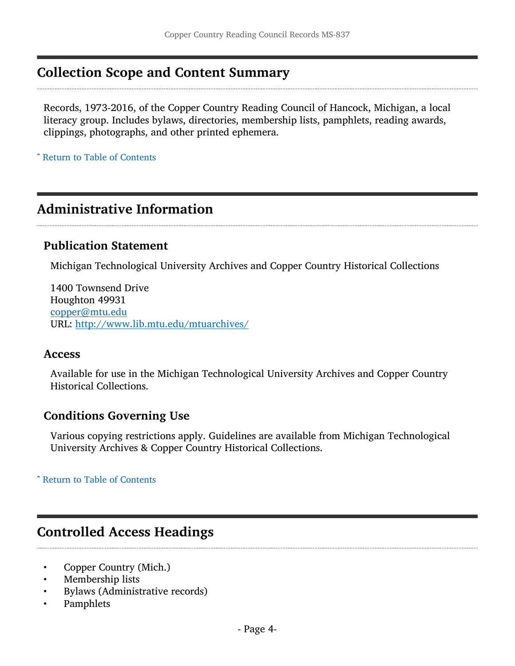## <span id="page-3-0"></span>Collection Scope and Content Summary

Records, 1973-2016, of the Copper Country Reading Council of Hancock, Michigan, a local literacy group. Includes bylaws, directories, membership lists, pamphlets, reading awards, clippings, photographs, and other printed ephemera.

^ [Return to Table of Contents](#page-1-0)

## <span id="page-3-1"></span>Administrative Information

#### Publication Statement

Michigan Technological University Archives and Copper Country Historical Collections

1400 Townsend Drive Houghton 49931 [copper@mtu.edu](mailto:copper@mtu.edu) URL: <http://www.lib.mtu.edu/mtuarchives/>

#### Access

Available for use in the Michigan Technological University Archives and Copper Country Historical Collections.

#### Conditions Governing Use

Various copying restrictions apply. Guidelines are available from Michigan Technological University Archives & Copper Country Historical Collections.

#### ^ [Return to Table of Contents](#page-1-0)

### <span id="page-3-2"></span>Controlled Access Headings

- Copper Country (Mich.)
- Membership lists
- Bylaws (Administrative records)
- Pamphlets